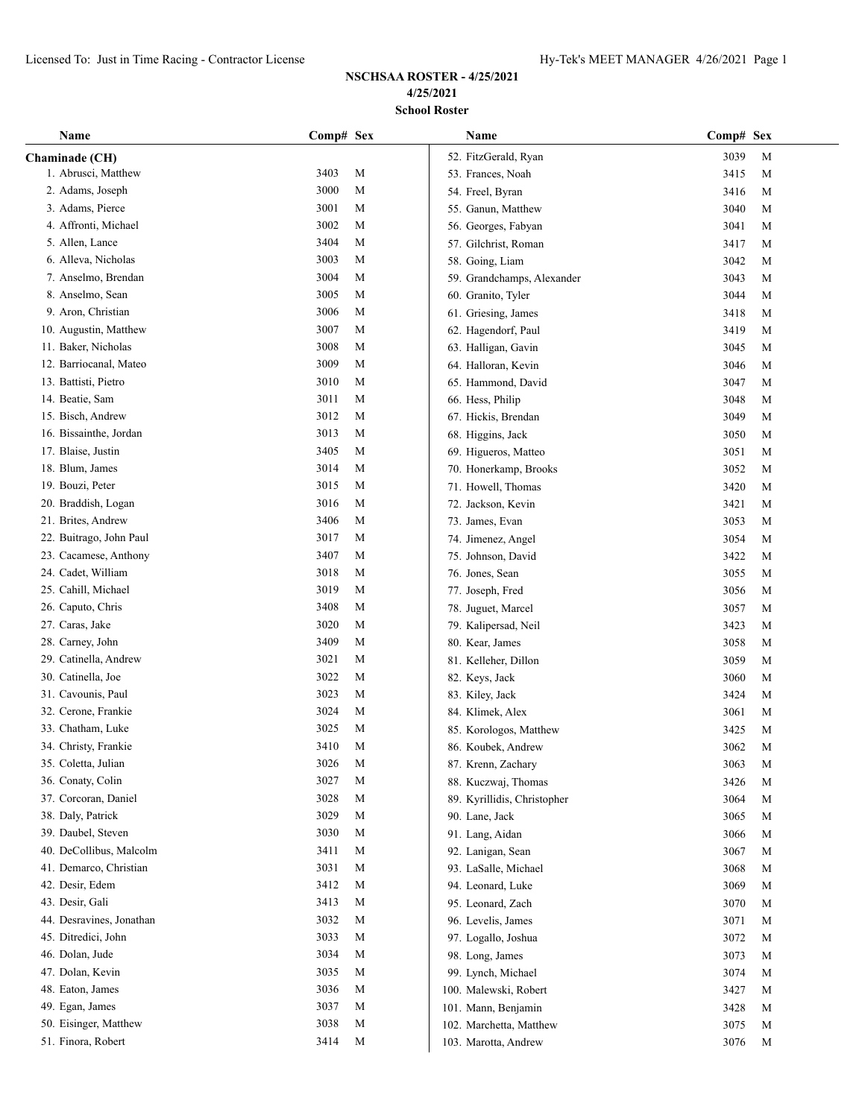| Name                     | Comp# Sex           | Name                        | Comp# Sex           |
|--------------------------|---------------------|-----------------------------|---------------------|
| Chaminade (CH)           |                     | 52. FitzGerald, Ryan        | 3039<br>M           |
| 1. Abrusci, Matthew      | 3403<br>$\mathbf M$ | 53. Frances, Noah           | 3415<br>M           |
| 2. Adams, Joseph         | 3000<br>M           | 54. Freel, Byran            | 3416<br>M           |
| 3. Adams, Pierce         | 3001<br>M           | 55. Ganun, Matthew          | 3040<br>M           |
| 4. Affronti, Michael     | 3002<br>M           | 56. Georges, Fabyan         | 3041<br>M           |
| 5. Allen, Lance          | 3404<br>M           | 57. Gilchrist, Roman        | 3417<br>M           |
| 6. Alleva, Nicholas      | 3003<br>M           | 58. Going, Liam             | 3042<br>M           |
| 7. Anselmo, Brendan      | 3004<br>M           | 59. Grandchamps, Alexander  | 3043<br>M           |
| 8. Anselmo, Sean         | 3005<br>M           | 60. Granito, Tyler          | 3044<br>M           |
| 9. Aron, Christian       | 3006<br>M           | 61. Griesing, James         | 3418<br>M           |
| 10. Augustin, Matthew    | 3007<br>M           | 62. Hagendorf, Paul         | 3419<br>M           |
| 11. Baker, Nicholas      | 3008<br>M           | 63. Halligan, Gavin         | 3045<br>M           |
| 12. Barriocanal, Mateo   | 3009<br>M           | 64. Halloran, Kevin         | 3046<br>M           |
| 13. Battisti, Pietro     | 3010<br>M           | 65. Hammond, David          | 3047<br>M           |
| 14. Beatie, Sam          | 3011<br>M           | 66. Hess, Philip            | 3048<br>M           |
| 15. Bisch, Andrew        | 3012<br>M           | 67. Hickis, Brendan         | 3049<br>M           |
| 16. Bissainthe, Jordan   | 3013<br>M           | 68. Higgins, Jack           | 3050<br>M           |
| 17. Blaise, Justin       | 3405<br>М           | 69. Higueros, Matteo        | 3051<br>M           |
| 18. Blum, James          | 3014<br>М           | 70. Honerkamp, Brooks       | 3052<br>M           |
| 19. Bouzi, Peter         | 3015<br>M           | 71. Howell, Thomas          | 3420<br>M           |
| 20. Braddish, Logan      | 3016<br>M           | 72. Jackson, Kevin          | 3421<br>M           |
| 21. Brites, Andrew       | 3406<br>M           | 73. James, Evan             | 3053<br>M           |
| 22. Buitrago, John Paul  | 3017<br>M           | 74. Jimenez, Angel          | 3054<br>M           |
| 23. Cacamese, Anthony    | 3407<br>M           | 75. Johnson, David          | 3422<br>M           |
| 24. Cadet, William       | 3018<br>M           | 76. Jones, Sean             | 3055<br>M           |
| 25. Cahill, Michael      | 3019<br>M           | 77. Joseph, Fred            | 3056<br>M           |
| 26. Caputo, Chris        | 3408<br>M           | 78. Juguet, Marcel          | 3057<br>M           |
| 27. Caras, Jake          | 3020<br>M           | 79. Kalipersad, Neil        | 3423<br>M           |
| 28. Carney, John         | 3409<br>M           | 80. Kear, James             | 3058<br>M           |
| 29. Catinella, Andrew    | 3021<br>M           | 81. Kelleher, Dillon        | 3059<br>M           |
| 30. Catinella, Joe       | 3022<br>M           | 82. Keys, Jack              | 3060<br>M           |
| 31. Cavounis, Paul       | 3023<br>M           | 83. Kiley, Jack             | 3424<br>M           |
| 32. Cerone, Frankie      | 3024<br>M           | 84. Klimek, Alex            | 3061<br>M           |
| 33. Chatham, Luke        | 3025<br>M           | 85. Korologos, Matthew      | 3425<br>M           |
| 34. Christy, Frankie     | 3410<br>M           | 86. Koubek, Andrew          | 3062<br>M           |
| 35. Coletta, Julian      | 3026<br>M           | 87. Krenn, Zachary          | 3063<br>M           |
| 36. Conaty, Colin        | 3027<br>$\mathbf M$ | 88. Kuczwaj, Thomas         | 3426<br>M           |
| 37. Corcoran, Daniel     | 3028<br>$\mathbf M$ | 89. Kyrillidis, Christopher | 3064<br>M           |
| 38. Daly, Patrick        | 3029<br>M           | 90. Lane, Jack              | 3065<br>M           |
| 39. Daubel, Steven       | 3030<br>M           | 91. Lang, Aidan             | 3066<br>M           |
| 40. DeCollibus, Malcolm  | 3411<br>M           | 92. Lanigan, Sean           | 3067<br>M           |
| 41. Demarco, Christian   | 3031<br>M           | 93. LaSalle, Michael        | 3068<br>M           |
| 42. Desir, Edem          | 3412<br>M           | 94. Leonard, Luke           | 3069<br>M           |
| 43. Desir, Gali          | 3413<br>M           | 95. Leonard, Zach           | 3070<br>M           |
| 44. Desravines, Jonathan | 3032<br>M           | 96. Levelis, James          | 3071<br>M           |
| 45. Ditredici, John      | 3033<br>M           | 97. Logallo, Joshua         | 3072<br>M           |
| 46. Dolan, Jude          | 3034<br>M           | 98. Long, James             | 3073<br>M           |
| 47. Dolan, Kevin         | 3035<br>M           | 99. Lynch, Michael          | 3074<br>M           |
| 48. Eaton, James         | 3036<br>M           | 100. Malewski, Robert       | 3427<br>M           |
| 49. Egan, James          | 3037<br>M           | 101. Mann, Benjamin         | 3428<br>M           |
| 50. Eisinger, Matthew    | 3038<br>M           | 102. Marchetta, Matthew     | 3075<br>M           |
| 51. Finora, Robert       | 3414<br>M           | 103. Marotta, Andrew        | 3076<br>$\mathbf M$ |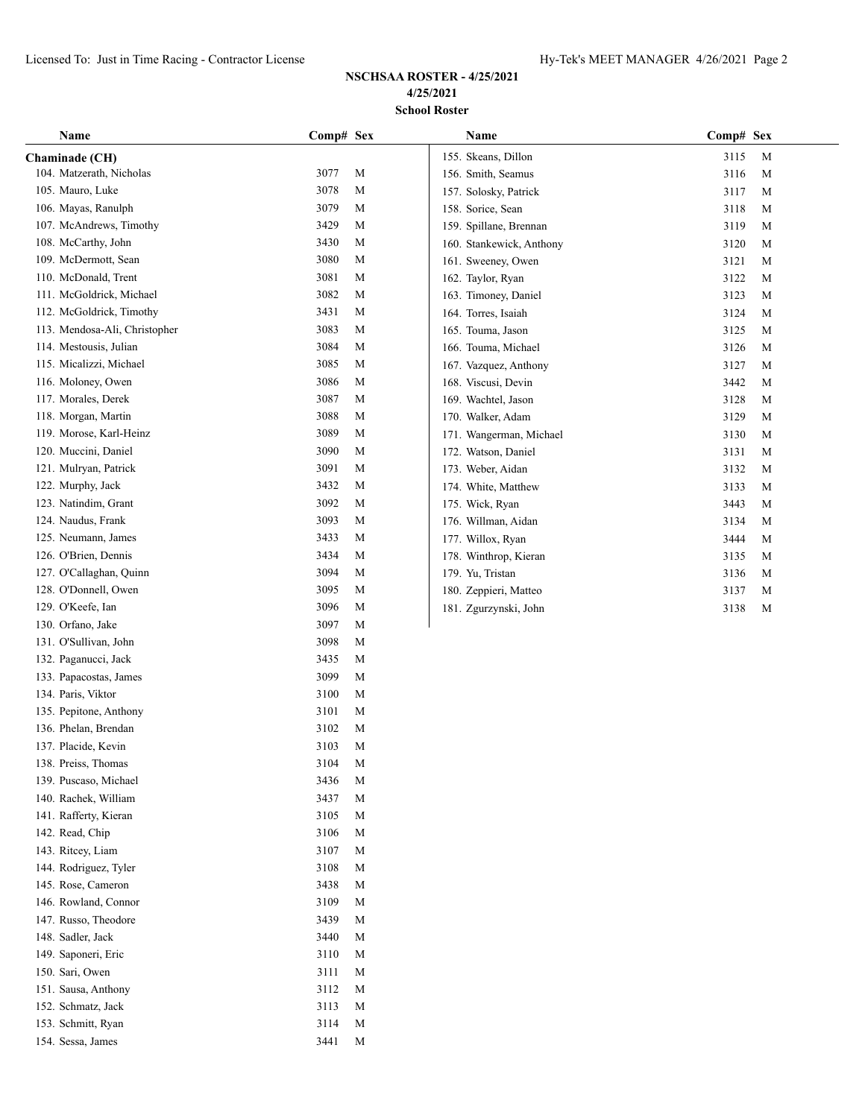# **NSCHSAA ROSTER - 4/25/2021 4/25/2021 School Roster**

| Name                          | Comp# Sex |   | Name                     | Comp# Sex |   |
|-------------------------------|-----------|---|--------------------------|-----------|---|
| Chaminade (CH)                |           |   | 155. Skeans, Dillon      | 3115      | M |
| 104. Matzerath, Nicholas      | 3077      | M | 156. Smith, Seamus       | 3116      | M |
| 105. Mauro, Luke              | 3078      | M | 157. Solosky, Patrick    | 3117      | M |
| 106. Mayas, Ranulph           | 3079      | M | 158. Sorice, Sean        | 3118      | M |
| 107. McAndrews, Timothy       | 3429      | M | 159. Spillane, Brennan   | 3119      | M |
| 108. McCarthy, John           | 3430      | M | 160. Stankewick, Anthony | 3120      | M |
| 109. McDermott, Sean          | 3080      | M | 161. Sweeney, Owen       | 3121      | M |
| 110. McDonald, Trent          | 3081      | M | 162. Taylor, Ryan        | 3122      | M |
| 111. McGoldrick, Michael      | 3082      | M | 163. Timoney, Daniel     | 3123      | M |
| 112. McGoldrick, Timothy      | 3431      | M | 164. Torres, Isaiah      | 3124      | M |
| 113. Mendosa-Ali, Christopher | 3083      | M | 165. Touma, Jason        | 3125      | M |
| 114. Mestousis, Julian        | 3084      | M | 166. Touma, Michael      | 3126      | M |
| 115. Micalizzi, Michael       | 3085      | M | 167. Vazquez, Anthony    | 3127      | M |
| 116. Moloney, Owen            | 3086      | M | 168. Viscusi, Devin      | 3442      | M |
| 117. Morales, Derek           | 3087      | M | 169. Wachtel, Jason      | 3128      | M |
| 118. Morgan, Martin           | 3088      | M | 170. Walker, Adam        | 3129      | M |
| 119. Morose, Karl-Heinz       | 3089      | M | 171. Wangerman, Michael  | 3130      | M |
| 120. Muccini, Daniel          | 3090      | M | 172. Watson, Daniel      | 3131      | M |
| 121. Mulryan, Patrick         | 3091      | M | 173. Weber, Aidan        | 3132      | M |
| 122. Murphy, Jack             | 3432      | M | 174. White, Matthew      | 3133      | M |
| 123. Natindim, Grant          | 3092      | M | 175. Wick, Ryan          | 3443      | M |
| 124. Naudus, Frank            | 3093      | M | 176. Willman, Aidan      | 3134      | M |
| 125. Neumann, James           | 3433      | M | 177. Willox, Ryan        | 3444      | M |
| 126. O'Brien, Dennis          | 3434      | M | 178. Winthrop, Kieran    | 3135      | M |
| 127. O'Callaghan, Quinn       | 3094      | M | 179. Yu, Tristan         | 3136      | M |
| 128. O'Donnell, Owen          | 3095      | M | 180. Zeppieri, Matteo    | 3137      | M |
| 129. O'Keefe, Ian             | 3096      | M | 181. Zgurzynski, John    | 3138      | M |
| 130. Orfano, Jake             | 3097      | M |                          |           |   |
| 131. O'Sullivan, John         | 3098      | M |                          |           |   |
| 132. Paganucci, Jack          | 3435      | M |                          |           |   |
| 133. Papacostas, James        | 3099      | M |                          |           |   |
| 134. Paris, Viktor            | 3100      | M |                          |           |   |
| 135. Pepitone, Anthony        | 3101      | M |                          |           |   |
| 136. Phelan, Brendan          | 3102      | M |                          |           |   |
| 137. Placide, Kevin           | 3103      | M |                          |           |   |
| 138. Preiss, Thomas           | 3104      | M |                          |           |   |
| 139. Puscaso, Michael         | 3436      | M |                          |           |   |
| 140. Rachek, William          | 3437      | M |                          |           |   |
| 141. Rafferty, Kieran         | 3105      | M |                          |           |   |
| 142. Read, Chip               | 3106      | M |                          |           |   |
| 143. Ritcey, Liam             | 3107      | M |                          |           |   |
| 144. Rodriguez, Tyler         | 3108      | M |                          |           |   |
| 145. Rose, Cameron            | 3438      | M |                          |           |   |
| 146. Rowland, Connor          | 3109      | M |                          |           |   |
| 147. Russo, Theodore          | 3439      | M |                          |           |   |
| 148. Sadler, Jack             | 3440      | M |                          |           |   |
| 149. Saponeri, Eric           | 3110      | M |                          |           |   |
| 150. Sari, Owen               | 3111      | M |                          |           |   |
| 151. Sausa, Anthony           | 3112      | M |                          |           |   |
| 152. Schmatz, Jack            | 3113      | M |                          |           |   |
| 153. Schmitt, Ryan            | 3114      | M |                          |           |   |

154. Sessa, James 3441 M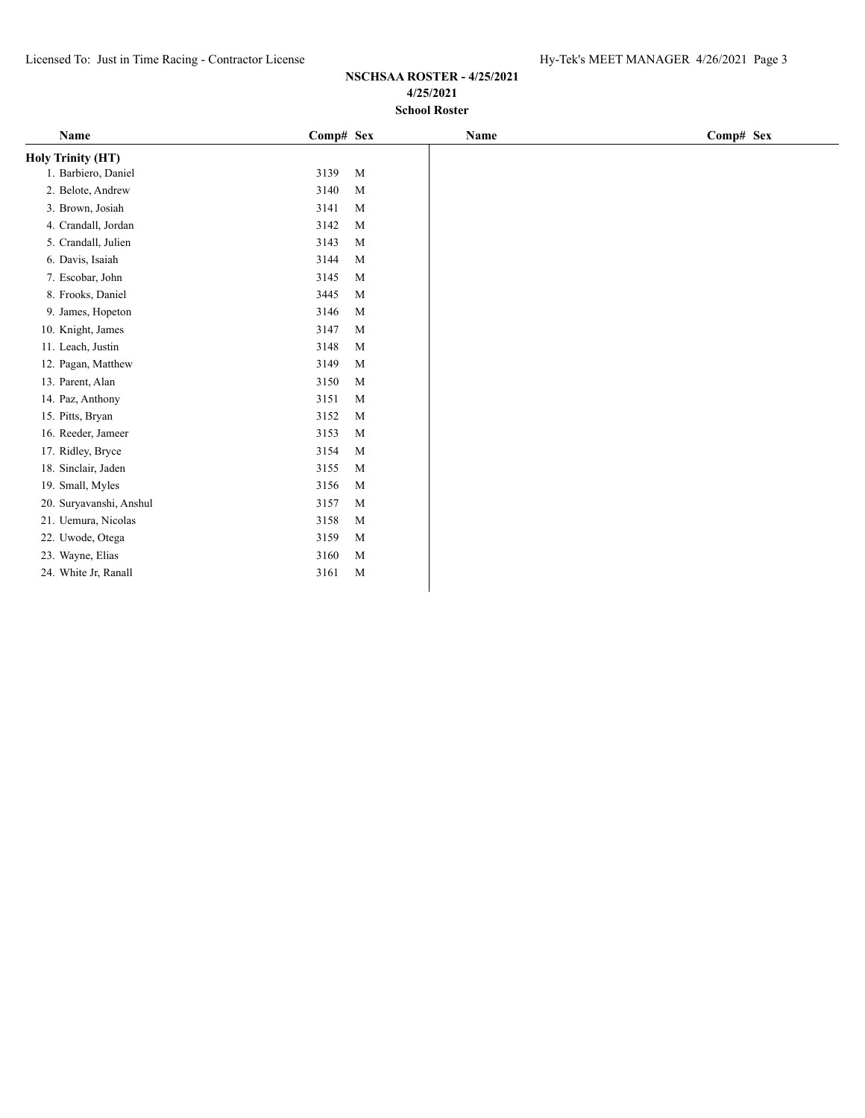| Name                     | Comp# Sex            | Name | Comp# Sex |
|--------------------------|----------------------|------|-----------|
| <b>Holy Trinity (HT)</b> |                      |      |           |
| 1. Barbiero, Daniel      | $\mathbf{M}$<br>3139 |      |           |
| 2. Belote, Andrew        | 3140<br>M            |      |           |
| 3. Brown, Josiah         | 3141<br>M            |      |           |
| 4. Crandall, Jordan      | 3142<br>M            |      |           |
| 5. Crandall, Julien      | 3143<br>M            |      |           |
| 6. Davis, Isaiah         | 3144<br>M            |      |           |
| 7. Escobar, John         | 3145<br>M            |      |           |
| 8. Frooks, Daniel        | 3445<br>M            |      |           |
| 9. James, Hopeton        | 3146<br>M            |      |           |
| 10. Knight, James        | 3147<br>M            |      |           |
| 11. Leach, Justin        | 3148<br>M            |      |           |
| 12. Pagan, Matthew       | 3149<br>M            |      |           |
| 13. Parent, Alan         | 3150<br>M            |      |           |
| 14. Paz, Anthony         | 3151<br>M            |      |           |
| 15. Pitts, Bryan         | 3152<br>M            |      |           |
| 16. Reeder, Jameer       | 3153<br>M            |      |           |
| 17. Ridley, Bryce        | 3154<br>M            |      |           |
| 18. Sinclair, Jaden      | 3155<br>M            |      |           |
| 19. Small, Myles         | 3156<br>M            |      |           |
| 20. Suryavanshi, Anshul  | 3157<br>M            |      |           |
| 21. Uemura, Nicolas      | 3158<br>M            |      |           |
| 22. Uwode, Otega         | 3159<br>M            |      |           |
| 23. Wayne, Elias         | 3160<br>M            |      |           |
| 24. White Jr, Ranall     | 3161<br>M            |      |           |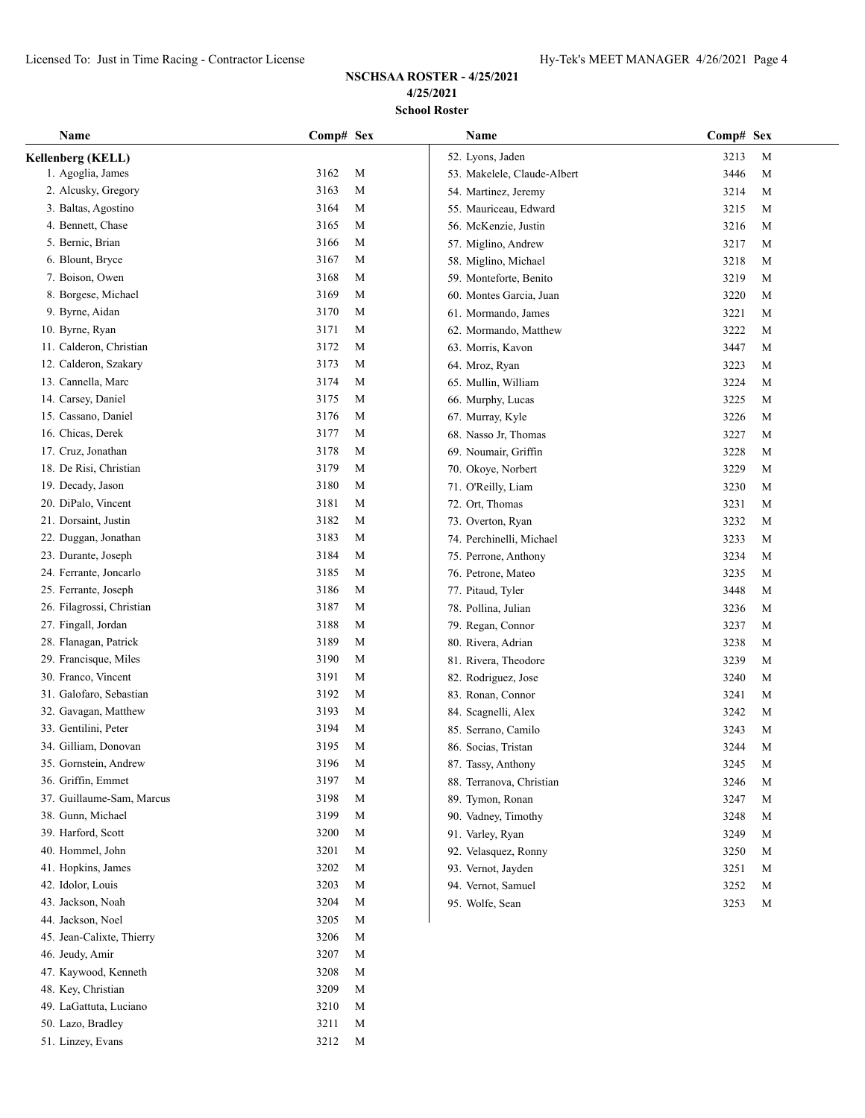## **NSCHSAA ROSTER - 4/25/2021 4/25/2021 School Roster**

| Name                      | Comp# Sex           | Name                        | Comp# Sex           |
|---------------------------|---------------------|-----------------------------|---------------------|
| Kellenberg (KELL)         |                     | 52. Lyons, Jaden            | 3213<br>$\mathbf M$ |
| 1. Agoglia, James         | 3162<br>$\mathbf M$ | 53. Makelele, Claude-Albert | 3446<br>M           |
| 2. Alcusky, Gregory       | 3163<br>M           | 54. Martinez, Jeremy        | 3214<br>M           |
| 3. Baltas, Agostino       | 3164<br>M           | 55. Mauriceau, Edward       | 3215<br>M           |
| 4. Bennett, Chase         | 3165<br>M           | 56. McKenzie, Justin        | 3216<br>M           |
| 5. Bernic, Brian          | 3166<br>M           | 57. Miglino, Andrew         | 3217<br>M           |
| 6. Blount, Bryce          | 3167<br>M           | 58. Miglino, Michael        | 3218<br>M           |
| 7. Boison, Owen           | 3168<br>M           | 59. Monteforte, Benito      | 3219<br>M           |
| 8. Borgese, Michael       | 3169<br>M           | 60. Montes Garcia, Juan     | 3220<br>M           |
| 9. Byrne, Aidan           | 3170<br>M           | 61. Mormando, James         | 3221<br>M           |
| 10. Byrne, Ryan           | 3171<br>M           | 62. Mormando, Matthew       | 3222<br>M           |
| 11. Calderon, Christian   | 3172<br>M           | 63. Morris, Kavon           | 3447<br>M           |
| 12. Calderon, Szakary     | 3173<br>M           | 64. Mroz, Ryan              | 3223<br>M           |
| 13. Cannella, Marc        | 3174<br>M           | 65. Mullin, William         | 3224<br>M           |
| 14. Carsey, Daniel        | 3175<br>M           | 66. Murphy, Lucas           | 3225<br>M           |
| 15. Cassano, Daniel       | 3176<br>М           | 67. Murray, Kyle            | 3226<br>M           |
| 16. Chicas, Derek         | 3177<br>М           | 68. Nasso Jr, Thomas        | 3227<br>M           |
| 17. Cruz, Jonathan        | 3178<br>М           | 69. Noumair, Griffin        | 3228<br>M           |
| 18. De Risi, Christian    | 3179<br>M           | 70. Okoye, Norbert          | 3229<br>M           |
| 19. Decady, Jason         | 3180<br>M           | 71. O'Reilly, Liam          | 3230<br>$\mathbf M$ |
| 20. DiPalo, Vincent       | 3181<br>M           | 72. Ort, Thomas             | 3231<br>M           |
| 21. Dorsaint, Justin      | 3182<br>M           | 73. Overton, Ryan           | 3232<br>M           |
| 22. Duggan, Jonathan      | 3183<br>M           | 74. Perchinelli, Michael    | 3233<br>M           |
| 23. Durante, Joseph       | 3184<br>M           | 75. Perrone, Anthony        | 3234<br>M           |
| 24. Ferrante, Joncarlo    | 3185<br>M           | 76. Petrone, Mateo          | 3235<br>M           |
| 25. Ferrante, Joseph      | 3186<br>M           | 77. Pitaud, Tyler           | 3448<br>M           |
| 26. Filagrossi, Christian | 3187<br>M           | 78. Pollina, Julian         | 3236<br>M           |
| 27. Fingall, Jordan       | 3188<br>M           | 79. Regan, Connor           | 3237<br>M           |
| 28. Flanagan, Patrick     | 3189<br>M           | 80. Rivera, Adrian          | 3238<br>M           |
| 29. Francisque, Miles     | 3190<br>M           | 81. Rivera, Theodore        | 3239<br>$\mathbf M$ |
| 30. Franco, Vincent       | 3191<br>M           | 82. Rodriguez, Jose         | 3240<br>M           |
| 31. Galofaro, Sebastian   | 3192<br>M           | 83. Ronan, Connor           | 3241<br>M           |
| 32. Gavagan, Matthew      | 3193<br>M           | 84. Scagnelli, Alex         | 3242<br>M           |
| 33. Gentilini, Peter      | 3194<br>M           | 85. Serrano, Camilo         | 3243<br>M           |
| 34. Gilliam, Donovan      | 3195<br>M           | 86. Socias, Tristan         | 3244<br>M           |
| 35. Gornstein, Andrew     | 3196<br>M           | 87. Tassy, Anthony          | 3245<br>M           |
| 36. Griffin, Emmet        | 3197<br>M           | 88. Terranova, Christian    | 3246<br>M           |
| 37. Guillaume-Sam, Marcus | 3198<br>M           | 89. Tymon, Ronan            | 3247<br>M           |
| 38. Gunn, Michael         | 3199<br>M           | 90. Vadney, Timothy         | 3248<br>M           |
| 39. Harford, Scott        | 3200<br>M           | 91. Varley, Ryan            | 3249<br>M           |
| 40. Hommel, John          | 3201<br>M           | 92. Velasquez, Ronny        | 3250<br>M           |
| 41. Hopkins, James        | 3202<br>M           | 93. Vernot, Jayden          | 3251<br>$\mathbf M$ |
| 42. Idolor, Louis         | 3203<br>M           | 94. Vernot, Samuel          | 3252<br>M           |
| 43. Jackson, Noah         | 3204<br>M           | 95. Wolfe, Sean             | 3253<br>M           |
| 44. Jackson, Noel         | 3205<br>M           |                             |                     |
| 45. Jean-Calixte, Thierry | 3206<br>M           |                             |                     |
| 46. Jeudy, Amir           | 3207<br>M           |                             |                     |
| 47. Kaywood, Kenneth      | 3208<br>M           |                             |                     |
| 48. Key, Christian        | 3209<br>M           |                             |                     |
| 49. LaGattuta, Luciano    | 3210<br>M           |                             |                     |
| 50. Lazo, Bradley         | 3211<br>M           |                             |                     |

51. Linzey, Evans 3212 M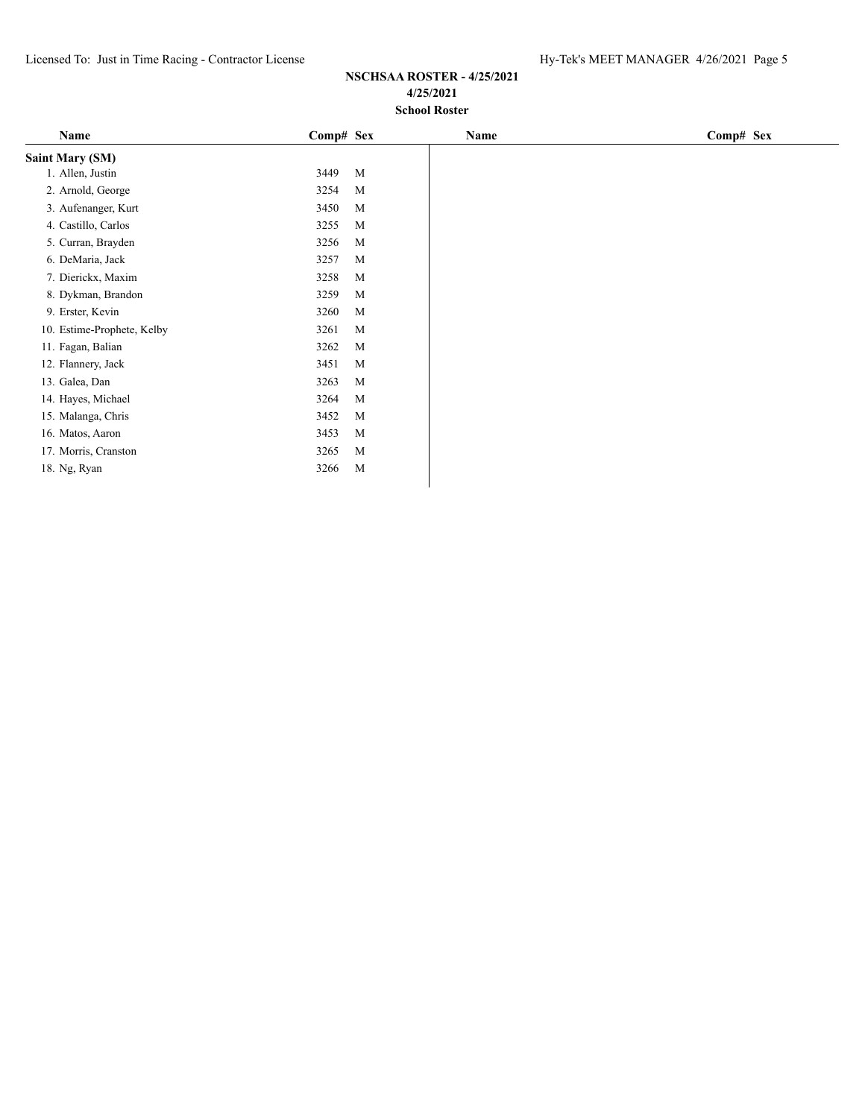| Name                       | Comp# Sex |   | Name | Comp# Sex |
|----------------------------|-----------|---|------|-----------|
| <b>Saint Mary (SM)</b>     |           |   |      |           |
| 1. Allen, Justin           | 3449      | M |      |           |
| 2. Arnold, George          | 3254      | M |      |           |
| 3. Aufenanger, Kurt        | 3450      | M |      |           |
| 4. Castillo, Carlos        | 3255      | M |      |           |
| 5. Curran, Brayden         | 3256      | M |      |           |
| 6. DeMaria, Jack           | 3257      | M |      |           |
| 7. Dierickx, Maxim         | 3258      | M |      |           |
| 8. Dykman, Brandon         | 3259      | M |      |           |
| 9. Erster, Kevin           | 3260      | M |      |           |
| 10. Estime-Prophete, Kelby | 3261      | M |      |           |
| 11. Fagan, Balian          | 3262      | M |      |           |
| 12. Flannery, Jack         | 3451      | M |      |           |
| 13. Galea, Dan             | 3263      | M |      |           |
| 14. Hayes, Michael         | 3264      | M |      |           |
| 15. Malanga, Chris         | 3452      | M |      |           |
| 16. Matos, Aaron           | 3453      | M |      |           |
| 17. Morris, Cranston       | 3265      | M |      |           |
| 18. Ng, Ryan               | 3266      | M |      |           |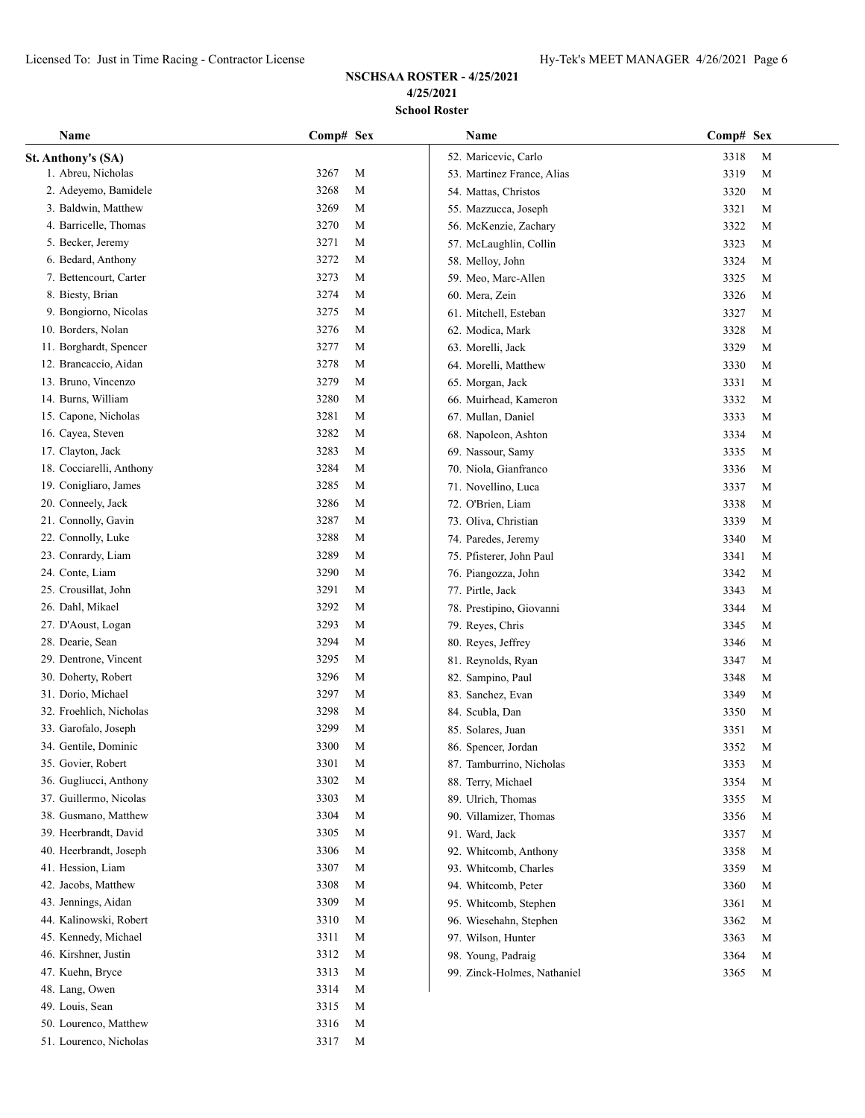| Name                     | Comp# Sex |             | Name                        | Comp# Sex    |             |  |
|--------------------------|-----------|-------------|-----------------------------|--------------|-------------|--|
| St. Anthony's (SA)       |           |             | 52. Maricevic, Carlo        | 3318         | M           |  |
| 1. Abreu, Nicholas       | 3267      | M           | 53. Martinez France, Alias  | 3319         | M           |  |
| 2. Adeyemo, Bamidele     | 3268      | М           | 54. Mattas, Christos        | 3320         | M           |  |
| 3. Baldwin, Matthew      | 3269      | М           | 55. Mazzucca, Joseph        | 3321         | M           |  |
| 4. Barricelle, Thomas    | 3270      | M           | 56. McKenzie, Zachary       | 3322         | M           |  |
| 5. Becker, Jeremy        | 3271      | М           | 57. McLaughlin, Collin      | 3323         | M           |  |
| 6. Bedard, Anthony       | 3272      | М           | 58. Melloy, John            | 3324         | M           |  |
| 7. Bettencourt, Carter   | 3273      | M           | 59. Meo, Marc-Allen         | 3325         | M           |  |
| 8. Biesty, Brian         | 3274      | M           | 60. Mera, Zein              | 3326         | М           |  |
| 9. Bongiorno, Nicolas    | 3275      | M           | 61. Mitchell, Esteban       | 3327         | M           |  |
| 10. Borders, Nolan       | 3276      | М           | 62. Modica, Mark            | 3328         | М           |  |
| 11. Borghardt, Spencer   | 3277      | M           | 63. Morelli, Jack           | 3329         | M           |  |
| 12. Brancaccio, Aidan    | 3278      | M           | 64. Morelli, Matthew        | 3330         | M           |  |
| 13. Bruno, Vincenzo      | 3279      | M           | 65. Morgan, Jack            | 3331         | M           |  |
| 14. Burns, William       | 3280      | M           | 66. Muirhead, Kameron       | 3332         | M           |  |
| 15. Capone, Nicholas     | 3281      | M           | 67. Mullan, Daniel          | 3333         | M           |  |
| 16. Cayea, Steven        | 3282      | M           | 68. Napoleon, Ashton        | 3334         | M           |  |
| 17. Clayton, Jack        | 3283      | M           | 69. Nassour, Samy           | 3335         | M           |  |
| 18. Cocciarelli, Anthony | 3284      | M           | 70. Niola, Gianfranco       | 3336         | M           |  |
| 19. Conigliaro, James    | 3285      | M           | 71. Novellino, Luca         | 3337         | M           |  |
| 20. Conneely, Jack       | 3286      | М           | 72. O'Brien, Liam           | 3338         | М           |  |
| 21. Connolly, Gavin      | 3287      | М           | 73. Oliva, Christian        | 3339         | M           |  |
| 22. Connolly, Luke       | 3288      | М           | 74. Paredes, Jeremy         | 3340         | M           |  |
| 23. Conrardy, Liam       | 3289      | М           | 75. Pfisterer, John Paul    | 3341         | M           |  |
| 24. Conte, Liam          | 3290      | М           | 76. Piangozza, John         | 3342         | M           |  |
| 25. Crousillat, John     | 3291      | М           | 77. Pirtle, Jack            | 3343         | M           |  |
| 26. Dahl, Mikael         | 3292      | М           | 78. Prestipino, Giovanni    | 3344         | $\mathbf M$ |  |
| 27. D'Aoust, Logan       | 3293      | M           |                             | 3345         | M           |  |
| 28. Dearie, Sean         | 3294      | M           | 79. Reyes, Chris            | 3346         |             |  |
| 29. Dentrone, Vincent    | 3295      | M           | 80. Reyes, Jeffrey          |              | М           |  |
| 30. Doherty, Robert      | 3296      | M           | 81. Reynolds, Ryan          | 3347<br>3348 | М<br>M      |  |
| 31. Dorio, Michael       | 3297      | M           | 82. Sampino, Paul           |              |             |  |
| 32. Froehlich, Nicholas  | 3298      | M           | 83. Sanchez, Evan           | 3349         | M           |  |
| 33. Garofalo, Joseph     | 3299      | M           | 84. Scubla, Dan             | 3350         | M           |  |
| 34. Gentile, Dominic     | 3300      |             | 85. Solares, Juan           | 3351         | M           |  |
| 35. Govier, Robert       |           | M           | 86. Spencer, Jordan         | 3352         | M           |  |
|                          | 3301      | M           | 87. Tamburrino, Nicholas    | 3353         | M           |  |
| 36. Gugliucci, Anthony   | 3302      | M           | 88. Terry, Michael          | 3354         | M           |  |
| 37. Guillermo, Nicolas   | 3303      | $\mathbf M$ | 89. Ulrich, Thomas          | 3355         | M           |  |
| 38. Gusmano, Matthew     | 3304      | M           | 90. Villamizer, Thomas      | 3356         | M           |  |
| 39. Heerbrandt, David    | 3305      | M           | 91. Ward, Jack              | 3357         | M           |  |
| 40. Heerbrandt, Joseph   | 3306      | M           | 92. Whitcomb, Anthony       | 3358         | M           |  |
| 41. Hession, Liam        | 3307      | M           | 93. Whitcomb, Charles       | 3359         | M           |  |
| 42. Jacobs, Matthew      | 3308      | M           | 94. Whitcomb, Peter         | 3360         | M           |  |
| 43. Jennings, Aidan      | 3309      | M           | 95. Whitcomb, Stephen       | 3361         | M           |  |
| 44. Kalinowski, Robert   | 3310      | M           | 96. Wiesehahn, Stephen      | 3362         | M           |  |
| 45. Kennedy, Michael     | 3311      | M           | 97. Wilson, Hunter          | 3363         | M           |  |
| 46. Kirshner, Justin     | 3312      | M           | 98. Young, Padraig          | 3364         | M           |  |
| 47. Kuehn, Bryce         | 3313      | M           | 99. Zinck-Holmes, Nathaniel | 3365         | M           |  |
| 48. Lang, Owen           | 3314      | M           |                             |              |             |  |
| 49. Louis, Sean          | 3315      | M           |                             |              |             |  |
| 50. Lourenco, Matthew    | 3316      | M           |                             |              |             |  |
| 51. Lourenco, Nicholas   | 3317      | M           |                             |              |             |  |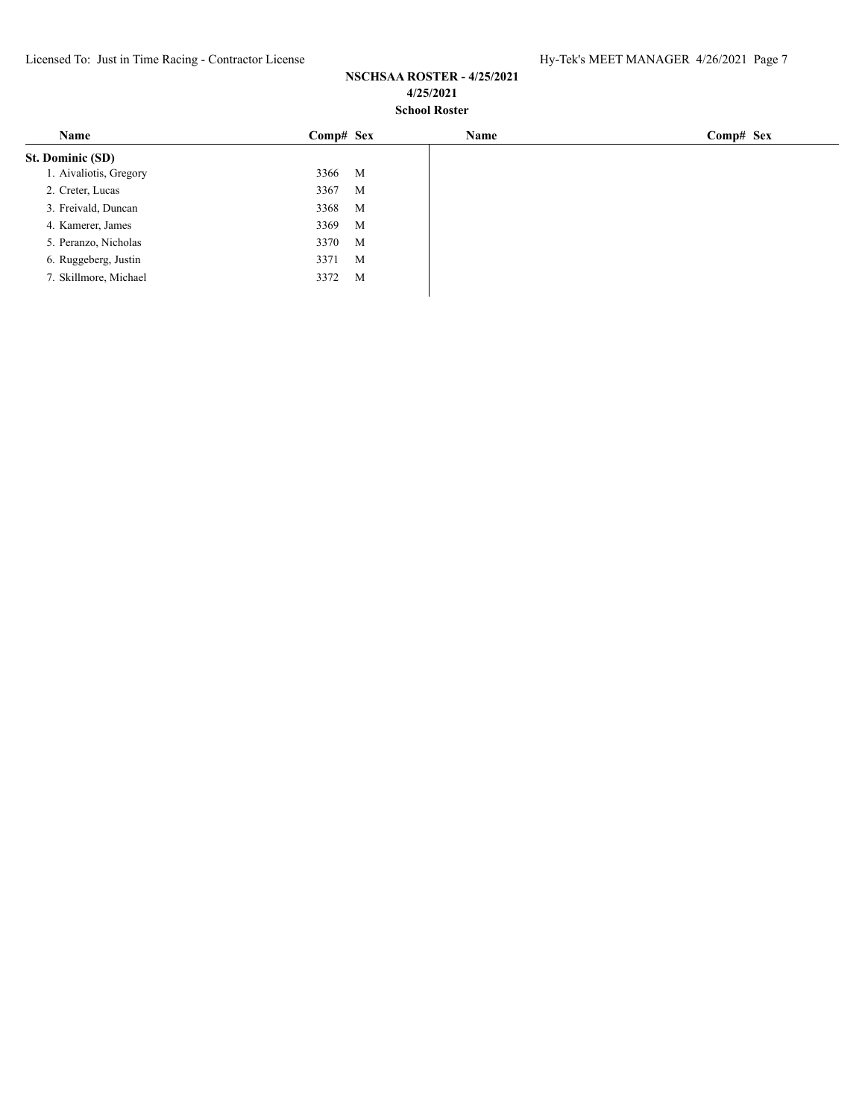| Name                   | $Comp#$ Sex | Name | $Comp#$ Sex |
|------------------------|-------------|------|-------------|
| St. Dominic (SD)       |             |      |             |
| 1. Aivaliotis, Gregory | 3366<br>M   |      |             |
| 2. Creter, Lucas       | 3367<br>M   |      |             |
| 3. Freivald, Duncan    | 3368<br>M   |      |             |
| 4. Kamerer, James      | 3369<br>M   |      |             |
| 5. Peranzo, Nicholas   | 3370<br>M   |      |             |
| 6. Ruggeberg, Justin   | M<br>3371   |      |             |
| 7. Skillmore, Michael  | 3372<br>M   |      |             |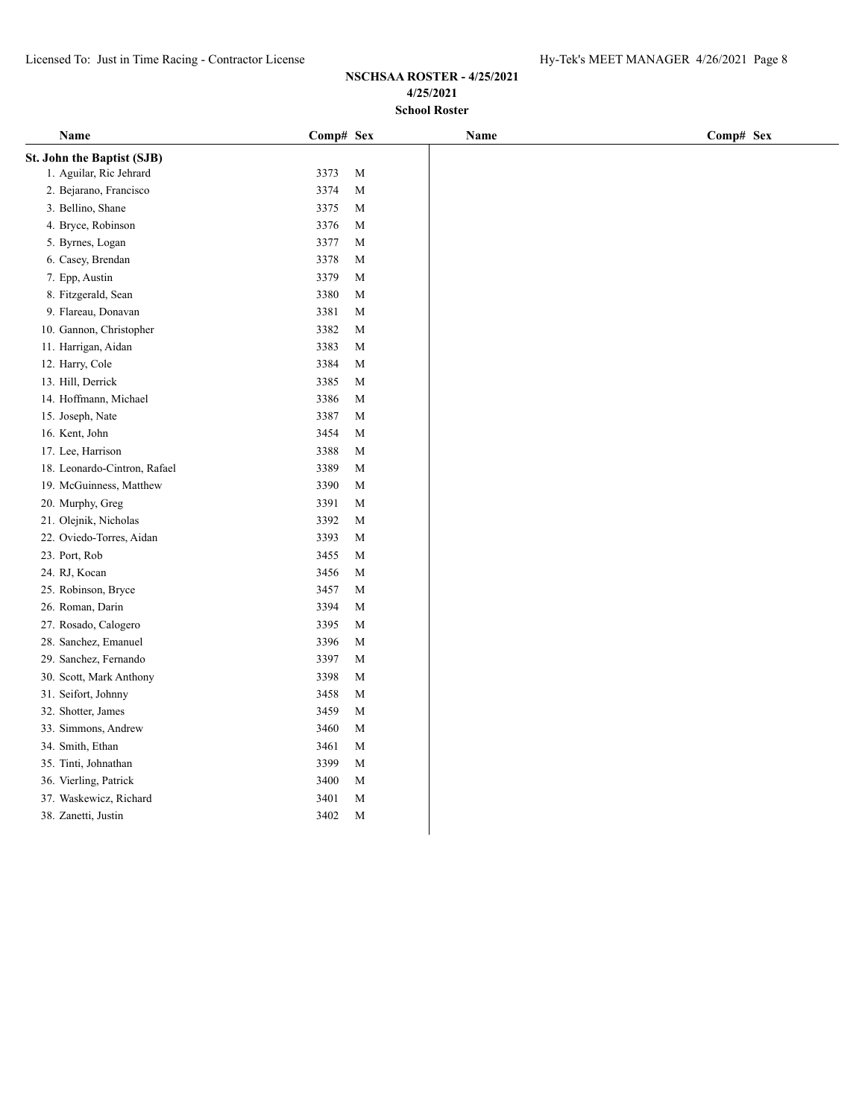| Name                         | Comp# Sex |             | Name | Comp# Sex |
|------------------------------|-----------|-------------|------|-----------|
| St. John the Baptist (SJB)   |           |             |      |           |
| 1. Aguilar, Ric Jehrard      | 3373      | $\mathbf M$ |      |           |
| 2. Bejarano, Francisco       | 3374      | $\mathbf M$ |      |           |
| 3. Bellino, Shane            | 3375      | M           |      |           |
| 4. Bryce, Robinson           | 3376      | M           |      |           |
| 5. Byrnes, Logan             | 3377      | M           |      |           |
| 6. Casey, Brendan            | 3378      | $\mathbf M$ |      |           |
| 7. Epp, Austin               | 3379      | M           |      |           |
| 8. Fitzgerald, Sean          | 3380      | M           |      |           |
| 9. Flareau, Donavan          | 3381      | M           |      |           |
| 10. Gannon, Christopher      | 3382      | M           |      |           |
| 11. Harrigan, Aidan          | 3383      | M           |      |           |
| 12. Harry, Cole              | 3384      | M           |      |           |
| 13. Hill, Derrick            | 3385      | M           |      |           |
| 14. Hoffmann, Michael        | 3386      | M           |      |           |
| 15. Joseph, Nate             | 3387      | $\mathbf M$ |      |           |
| 16. Kent, John               | 3454      | M           |      |           |
| 17. Lee, Harrison            | 3388      | M           |      |           |
| 18. Leonardo-Cintron, Rafael | 3389      | M           |      |           |
| 19. McGuinness, Matthew      | 3390      | M           |      |           |
| 20. Murphy, Greg             | 3391      | M           |      |           |
| 21. Olejnik, Nicholas        | 3392      | M           |      |           |
| 22. Oviedo-Torres, Aidan     | 3393      | M           |      |           |
| 23. Port, Rob                | 3455      | M           |      |           |
| 24. RJ, Kocan                | 3456      | $\mathbf M$ |      |           |
| 25. Robinson, Bryce          | 3457      | M           |      |           |
| 26. Roman, Darin             | 3394      | M           |      |           |
| 27. Rosado, Calogero         | 3395      | M           |      |           |
| 28. Sanchez, Emanuel         | 3396      | M           |      |           |
| 29. Sanchez, Fernando        | 3397      | M           |      |           |
| 30. Scott, Mark Anthony      | 3398      | M           |      |           |
| 31. Seifort, Johnny          | 3458      | M           |      |           |
| 32. Shotter, James           | 3459      | M           |      |           |
| 33. Simmons, Andrew          | 3460      | M           |      |           |
| 34. Smith, Ethan             | 3461      | M           |      |           |
| 35. Tinti, Johnathan         | 3399      | $\mathbf M$ |      |           |
| 36. Vierling, Patrick        | 3400      | M           |      |           |
| 37. Waskewicz, Richard       | 3401      | M           |      |           |
| 38. Zanetti, Justin          | 3402      | M           |      |           |